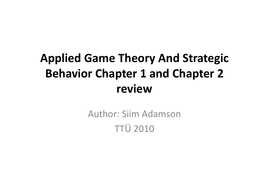### Applied Game Theory And Strategic Behavior Chapter 1 and Chapter 2 review

Author: Siim AdamsonTTÜ 2010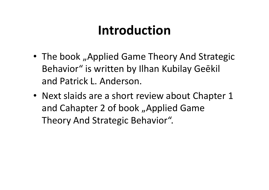# Introduction

- The book "Applied Game Theory And Strategic Behavior" is written by Ilhan Kubilay Geēkil and Patrick L. Anderson.
- Next slaids are a short review about Chapter 1 and Cahapter 2 of book "Applied Game Theory And Strategic Behavior".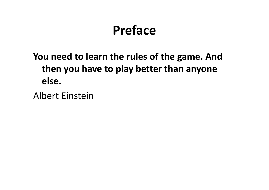# Preface

#### You need to learn the rules of the game. And then you have to play better than anyone else.

Albert Einstein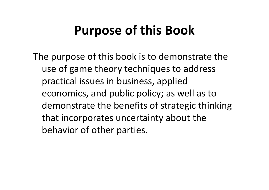# Purpose of this Book

The purpose of this book is to demonstrate the use of game theory techniques to address practical issues in business, applied economics, and public policy; as well as to demonstrate the benefits of strategic thinking that incorporates uncertainty about the behavior of other parties.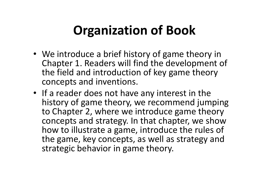# Organization of Book

- We introduce a brief history of game theory in Chapter 1. Readers will find the development of the field and introduction of key game theory concepts and inventions.
- If a reader does not have any interest in the history of game theory, we recommend jumping to Chapter 2, where we introduce game theory concepts and strategy. In that chapter, we show how to illustrate a game, introduce the rules of the game, key concepts, as well as strategy and strategic behavior in game theory.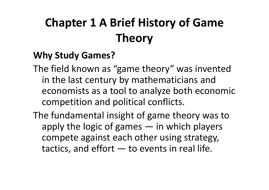# Chapter 1 A Brief History of Game Theory

#### Why Study Games?

- The field known as "game theory" was invented in the last century by mathematicians and economists as a tool to analyze both economic competition and political conflicts.
- The fundamental insight of game theory was to apply the logic of games — in which players compete against each other using strategy, tactics, and effort  $-$  to events in real life.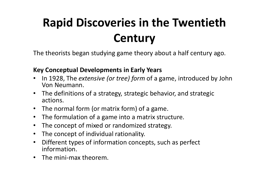# Rapid Discoveries in the Twentieth **Century**

The theorists began studying game theory about a half century ago.

#### Key Conceptual Developments in Early Years

- In 1928, The extensive (or tree) form of a game, introduced by John  $\bullet$ Von Neumann.
- The definitions of a strategy, strategic behavior, and strategic actions.
- The normal form (or matrix form) of a game.
- The formulation of a game into a matrix structure.
- $\bullet$ The concept of mixed or randomized strategy.
- The concept of individual rationality.
- $\bullet$  Different types of information concepts, such as perfect information.
- The mini-max theorem.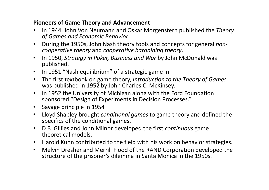#### Pioneers of Game Theory and Advancement

- $\bullet$ In 1944, John Von Neumann and Oskar Morgenstern published the Theory of Games and Economic Behavior.
- $\bullet$  During the 1950s, John Nash theory tools and concepts for general noncooperative theory and cooperative bargaining theory.
- $\bullet$  In 1950, Strategy in Poker, Business and War by John McDonald was published.
- In 1951 "Nash equilibrium" of a strategic game in.
- $\bullet$  The first textbook on game theory, Introduction to the Theory of Games, was published in 1952 by John Charles C. McKinsey.
- $\bullet$  In 1952 the University of Michigan along with the Ford Foundation sponsored "Design of Experiments in Decision Processes."
- Savage principle in 1954
- Lloyd Shapley brought *conditional games* to game theory and defined the  $\bullet$ specifics of the conditional games.
- $\bullet$  D.B. Gillies and John Milnor developed the first continuous game theoretical models.
- Harold Kuhn contributed to the field with his work on behavior strategies.
- $\bullet$  Melvin Dresher and Merrill Flood of the RAND Corporation developed the structure of the prisoner's dilemma in Santa Monica in the 1950s.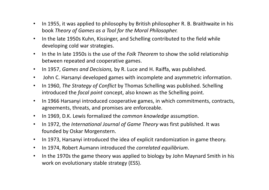- • In 1955, it was applied to philosophy by British philosopher R. B. Braithwaite in his book Theory of Games as a Tool for the Moral Philosopher.
- • In the late 1950s Kuhn, Kissinger, and Schelling contributed to the field while developing cold war strategies.
- $\bullet$ • In the In late 1950s is the use of the *Folk Theorem* to show the solid relationship between repeated and cooperative games.
- •In 1957, Games and Decisions, by R. Luce and H. Raiffa, was published.
- $\bullet$ John C. Harsanyi developed games with incomplete and asymmetric information.
- $\bullet$ In 1960, The Strategy of Conflict by Thomas Schelling was published. Schelling introduced the *focal point* concept, also known as the Schelling point.
- $\bullet$  In 1966 Harsanyi introduced cooperative games, in which commitments, contracts, agreements, threats, and promises are enforceable.
- $\bullet$ In 1969, D.K. Lewis formalized the common knowledge assumption.
- $\bullet$  In 1972, the International Journal of Game Theory was first published. It was founded by Oskar Morgenstern.
- $\bullet$ In 1973, Harsanyi introduced the idea of explicit randomization in game theory.
- $\bullet$ In 1974, Robert Aumann introduced the correlated equilibrium.
- $\bullet$  In the 1970s the game theory was applied to biology by John Maynard Smith in his work on evolutionary stable strategy (ESS).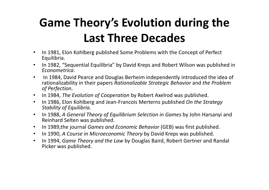# Game Theory's Evolution during the Last Three Decades

- $\bullet$  In 1981, Elon Kohlberg published Some Problems with the Concept of Perfect Equilibria.
- In 1982, "Sequential Equilibria" by David Kreps and Robert Wilson was published in Econometrica.
- $\bullet$  In 1984, David Pearce and Douglas Berheim independently introduced the idea of rationalizability in their papers Rationalizable Strategic Behavior and the Problem of Perfection.
- In 1984, The Evolution of Cooperation by Robert Axelrod was published.
- $\bullet$  In 1986, Elon Kohlberg and Jean-Francois Merterns published On the Strategy Stability of Equilibria.
- $\bullet$  In 1988, A General Theory of Equilibrium Selection in Games by John Harsanyi and Reinhard Selten was published.
- $\bullet$ In 1989,the journal Games and Economic Behavior (GEB) was first published.
- $\bullet$ In 1990, A Course in Microeconomic Theory by David Kreps was published.
- $\bullet$  In 1994, Game Theory and the Law by Douglas Baird, Robert Gertner and Randal Picker was published.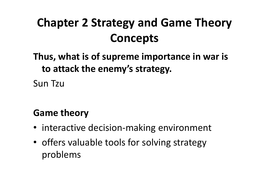#### Chapter 2 Strategy and Game Theory Concepts

#### Thus, what is of supreme importance in war is to attack the enemy's strategy.

Sun Tzu

#### Game theory

- interactive decision-making environment
- offers valuable tools for solving strategy problems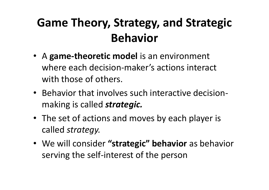#### Game Theory, Strategy, and Strategic Behavior

- A game-theoretic model is an environment where each decision-maker's actions interact with those of others.
- Behavior that involves such interactive decisionmaking is called **strategic.**
- The set of actions and moves by each player is called strategy.
- We will consider "strategic" behavior as behavior serving the self-interest of the person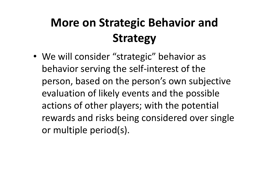# More on Strategic Behavior and Strategy

• We will consider "strategic" behavior as behavior serving the self-interest of the person, based on the person's own subjective evaluation of likely events and the possible actions of other players; with the potential rewards and risks being considered over single or multiple period(s).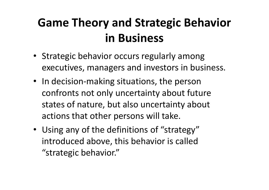#### Game Theory and Strategic Behavior in Business

- Strategic behavior occurs regularly among executives, managers and investors in business.
- In decision-making situations, the person confronts not only uncertainty about future states of nature, but also uncertainty about actions that other persons will take.
- Using any of the definitions of "strategy" introduced above, this behavior is called "strategic behavior."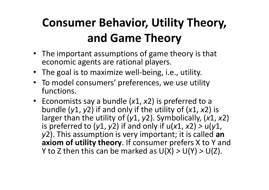### Consumer Behavior, Utility Theory, and Game Theory

- The important assumptions of game theory is that economic agents are rational players.
- The goal is to maximize well-being, i.e., utility.
- To model consumers' preferences, we use utility functions.
- Economists say a bundle  $(x1, x2)$  is preferred to a bundle (y1, y2) if and only if the utility of (x1, x2) is larger than the utility of  $(y1, y2)$ . Symbolically,  $(x1, x2)$ is preferred to (y1, y2) if and only if  $u(x1, x2) > u(y1, x2)$ y2). This assumption is very important; it is called an axiom of utility theory. If consumer prefers X to Y and Y to Z then this can be marked as  $U(X) > U(Y) > U(Z)$ .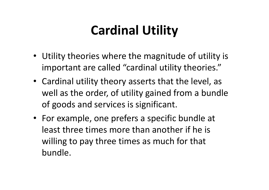# Cardinal Utility

- Utility theories where the magnitude of utility is important are called "cardinal utility theories."
- Cardinal utility theory asserts that the level, as well as the order, of utility gained from a bundle of goods and services is significant.
- For example, one prefers a specific bundle at least three times more than another if he is willing to pay three times as much for that bundle.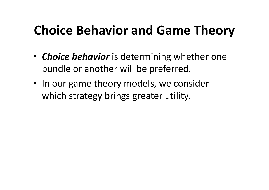# Choice Behavior and Game Theory

- Choice behavior is determining whether one bundle or another will be preferred.
- In our game theory models, we consider which strategy brings greater utility.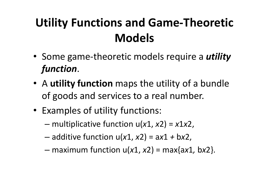### Utility Functions and Game-Theoretic Models

- Some game-theoretic models require a *utility* function.
- A utility function maps the utility of a bundle of goods and services to a real number.
- Examples of utility functions:
	- – $-$  multiplicative function u(x1, x2) = x1x2,
	- – $-$  additive function u(x1, x2) = ax1 + bx2,
	- – $-$  maximum function  $u(x1, x2)$  = max{ax1, bx2}.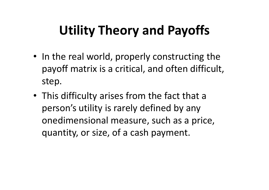# Utility Theory and Payoffs

- In the real world, properly constructing the payoff matrix is a critical, and often difficult, step.
- This difficulty arises from the fact that a person's utility is rarely defined by any onedimensional measure, such as a price, quantity, or size, of a cash payment.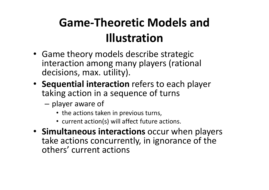### Game-Theoretic Models and Illustration

- Game theory models describe strategic interaction among many players (rational decisions, max. utility).
- Sequential interaction refers to each player taking action in a sequence of turns
	- and the state of the - player aware of
		- the actions taken in previous turns,
		- current action(s) will affect future actions.
- Simultaneous interactions occur when players take actions concurrently, in ignorance of the others' current actions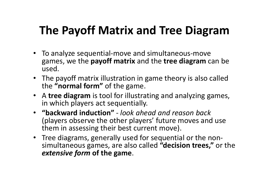#### The Payoff Matrix and Tree Diagram

- To analyze sequential-move and simultaneous-move games, we the **payoff matrix** and the **tree diagram** can be used.
- The payoff matrix illustration in game theory is also called the "normal form" of the game.
- A tree diagram is tool for illustrating and analyzing games, in which players act sequentially.
- "backward induction" look ahead and reason back (players observe the other players' future moves and use them in assessing their best current move).
- Tree diagrams, generally used for sequential or the nonsimultaneous games, are also called "decision trees," or the extensive form of the game.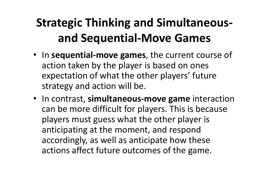## Strategic Thinking and Simultaneousand Sequential-Move Games

- In sequential-move games, the current course of action taken by the player is based on ones expectation of what the other players' future strategy and action will be.
- In contrast, simultaneous-move game interaction can be more difficult for players. This is because players must guess what the other player is anticipating at the moment, and respond accordingly, as well as anticipate how these actions affect future outcomes of the game.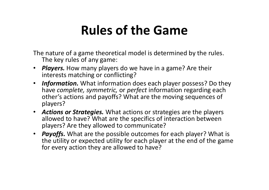### Rules of the Game

The nature of a game theoretical model is determined by the rules. The key rules of any game:

- Players. How many players do we have in a game? Are their interests matching or conflicting?
- Information. What information does each player possess? Do they have complete, symmetric, or perfect information regarding each other's actions and payoffs? What are the moving sequences of players?
- Actions or Strategies. What actions or strategies are the players allowed to have? What are the specifics of interaction between players? Are they allowed to communicate?
- Payoffs. What are the possible outcomes for each player? What is the utility or expected utility for each player at the end of the game for every action they are allowed to have?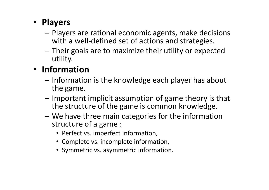#### • Players

- Players are rational economic agents, make decisions with a well-defined set of actions and strategies.
- Their goals are to maximize their utility or expected utility.

#### • Information

- Information is the knowledge each player has about<br>the same the game.
- Important implicit assumption of game theory is that the structure of the game is common knowledge.
- We have three main categories for the information structure of a game :
	- Perfect vs. imperfect information,
	- Complete vs. incomplete information,
	- Symmetric vs. asymmetric information.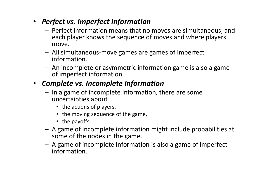- Perfect vs. Imperfect Information
	- Darfact information maans that n - Perfect information means that no moves are simultaneous, and each player knows the sequence of moves and where players move.
	- All simultaneous-move games are games of imperfect information.
	- An incomplete or asymmetric information game is also a game of imperfect information.

#### • Complete vs. Incomplete Information

- $-$  In a game of incomplete information  $\pm$  $-$  In a game of incomplete information, there are some uncertainties about
	- the actions of players,
	- the moving sequence of the game,
	- the payoffs.
- A game of incomplete information might include probabilities at some of the nodes in the game.
- A game of incomplete information is also a game of imperfect<br>information information.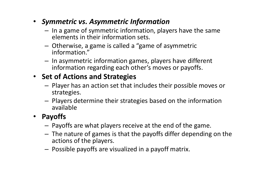- Symmetric vs. Asymmetric Information
	- $-$  In a game of symmetric information, pla - In a game of symmetric information, players have the same elements in their information sets.
	- Otherwise, a game is called a "game of asymmetric<br>information" information."
	- In asymmetric information games, players have different information regarding each other's moves or payoffs.

#### • Set of Actions and Strategies

- Player has an action set that includes their possible moves or strategies.
- Players determine their strategies based on the information available

#### •Payoffs

- Payoffs are what players receive at the end of the game.
- The nature of games is that the payoffs differ depending on the sations of the ulaware actions of the players.
- $-$  Possible payoffs are visualized in a payoff matrix.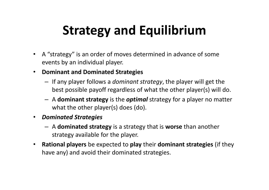# Strategy and Equilibrium

- A "strategy" is an order of moves determined in advance of some events by an individual player.
- Dominant and Dominated Strategies
	- If any player follows a *dominant strategy*, the player will get the best possible payoff regardless of what the other player(s) will do.
	- A dominant strategy is the *optimal* strategy for a player no matter what the other player(s) does (do).
- $\bullet$  Dominated Strategies
	- A dominated strategy is a strategy that is worse than another strategy available for the player.
- $\bullet$ • Rational players be expected to play their dominant strategies (if they have any) and avoid their dominated strategies.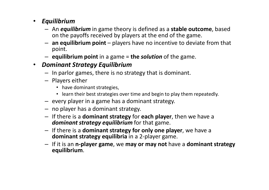#### • Equilibrium

- An *equilibrium* in game theory is defined as a **stable outcome**, based on the payoffs received by players at the end of the game on the payoffs received by players at the end of the game.
- an equilibrium point players have no incentive to deviate from that point.
- $-$  equilibrium point in a game = the solution of the game.

#### • Dominant Strategy Equilibrium

- In parlor games, there is no strategy that is dominant.
- Players either
	- have dominant strategies,
	- learn their best strategies over time and begin to play them repeatedly.
- every player in a game has a dominant strategy.
- no player has a dominant strategy.
- If there is a **dominant strategy** for **each player**, then we have a dominant strategy equilibrium for that game.
- If there is a **dominant strategy for only one player**, we have a dominant strategy equilibria in a 2-player game.
- If it is an n-player game, we may or may not have a dominant strategy<br>conditations equilibrium.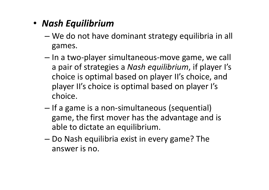- Nash Equilibrium
	- יונח זמח מח ביווי We do not have dominant strategy equilibria in all games.
	- –- In a two-player simultaneous-move game, we call a pair of strategies a Nash equilibrium, if player I's choice is optimal based on player II's choice, and player II's choice is optimal based on player I's choice.
	- –- If a game is a non-simultaneous (sequential) game, the first mover has the advantage and is able to dictate an equilibrium.
	- – Do Nash equilibria exist in every game? The answer is no.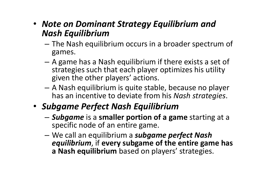#### • Note on Dominant Strategy Equilibrium and Nash Equilibrium

- –- The Nash equilibrium occurs in a broader spectrum of games.
- A game has a Nash equilibrium if there exists a set of strategies such that each player optimizes his utility given the other players' actions.
- –- A Nash equilibrium is quite stable, because no player has an incentive to deviate from his Nash strategies.
- Subgame Perfect Nash Equilibrium
	- АНИНИМ К ЈАНГЛЕН ВИНИМ ВИ ЈА - **Subgame** is a smaller portion of a game starting at a specific node of an entire game.
	- –We call an equilibrium a subgame perfect Nash<br>conditations if averusulares of the antire ram equilibrium, if every subgame of the entire game has a Nash equilibrium based on players' strategies.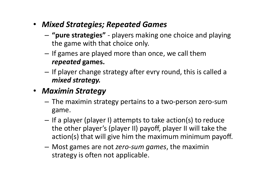- Mixed Strategies; Repeated Games
	- and the state of the - "pure strategies" - players making one choice and playing the game with that choice only.
	- **Links of the Company**  $-$  If games are played more than once, we call them repeated games.
	- –- If player change strategy after evry round, this is called a mixed strategy.
- Maximin Strategy
	- **Links of the Company**  The maximin strategy pertains to a two-person zero-sum game.
	- **Links of the Company** - If a player (player I) attempts to take action(s) to reduce the other player's (player II) payoff, player II will take the action(s) that will give him the maximum minimum payoff.
	- –- Most games are not *zero-sum games*, the maximin strategy is often not applicable.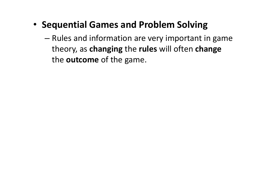- Sequential Games and Problem Solving
	- –- Rules and information are very important in game theory, as **changing** the r<mark>ules</mark> will often **change** the **outcome** of the game.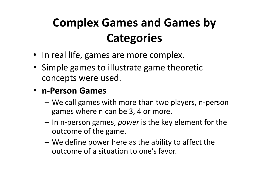# Complex Games and Games by **Categories**

- In real life, games are more complex.
- Simple games to illustrate game theoretic concepts were used.

#### •n-Person Games

- – We call games with more than two players, n-person games where n can be 3, 4 or more.
- In n-person games, *power* is the key element for the outcome of the game.
- We define power here as the ability to affect the outcome of a situation to one's favor.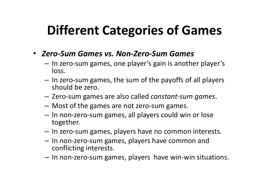# Different Categories of Games

- Zero-Sum Games vs. Non-Zero-Sum Games
	- and the state of the - In zero-sum games, one player's gain is another player's loss.
	- **Links of the Company** - In zero-sum games, the sum of the payoffs of all players should be zero.
	- **Links of the Company** - Zero-sum games are also called *constant-sum games*.
	- **Links of the Company** Most of the games are not zero-sum games.
	- –- In non-zero-sum games, all players could win or lose together.
	- **Links of the Company**  $-$  In zero-sum games, players have no common interests.
	- –- In non-zero-sum games, players have common and conflicting interests.
	- **Links of the Company**  $-$  In non-zero-sum games, players have win-win situations.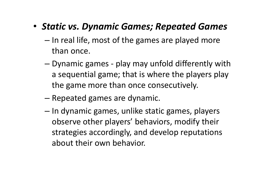#### • Static vs. Dynamic Games; Repeated Games

- –— In real life, most of the games are played more than once.
- – Dynamic games - play may unfold differently with a sequential game; that is where the players play the game more than once consecutively.
- – $-$  Repeated games are dynamic.
- –- In dynamic games, unlike static games, players observe other players' behaviors, modify their strategies accordingly, and develop reputations about their own behavior.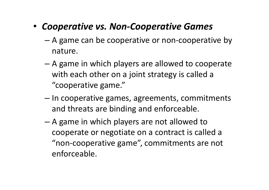#### • Cooperative vs. Non-Cooperative Games

- – A game can be cooperative or non-cooperative by nature.
- – A game in which players are allowed to cooperate with each other on a joint strategy is called a "cooperative game."
- –– In cooperative games, agreements, commitments and threats are binding and enforceable.
- –– A game in which players are not allowed to cooperate or negotiate on a contract is called a "non-cooperative game", commitments are not enforceable.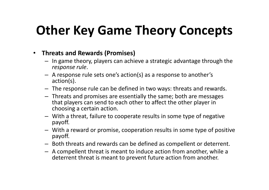# Other Key Game Theory Concepts

#### $\bullet$ Threats and Rewards (Promises)

- In game theory, players can achieve a strategic advantage through the response rule.
- A response rule sets one's action(s) as a response to another's action(s).
- The response rule can be defined in two ways: threats and rewards.
- Threats and promises are essentially the same; both are messages that players can send to each other to affect the other player in choosing a certain action.
- With a threat, failure to cooperate results in some type of negative payoff.
- With a reward or promise, cooperation results in some type of positive<br>may off payoff.
- Both threats and rewards can be defined as compellent or deterrent.
- A compellent threat is meant to induce action from another, while a deterrent threat is meant to prevent future action from another.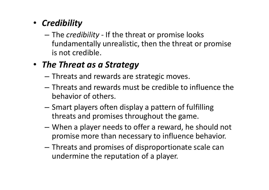#### • Credibility

–- The *credibility* - If the threat or promise looks fundamentally unrealistic, then the threat or promise is not credible.

#### • The Threat as a Strategy

- $-$  Threats and rewards are strategic moves.
- and the state of the - Threats and rewards must be credible to influence the behavior of others.
- Smart players often display a pattern of fulfilling threats and promises throughout the game.
- When a player needs to offer a reward, he should not promise more than necessary to influence behavior.
- –- Threats and promises of disproportionate scale can undermine the reputation of a player.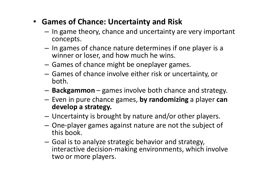- Games of Chance: Uncertainty and Risk
	- **Links of the Company** - In game theory, chance and uncertainty are very important concepts.
	- and the state of the - In games of chance nature determines if one player is a winner or loser, and how much he wins.
	- –Games of chance might be oneplayer games.
	- – Games of chance involve either risk or uncertainty, or both.
	- **Links of the Common** - Backgammon – games involve both chance and strategy.
	- –- Even in pure chance games, by randomizing a player can<br>develor a strategy develop a strategy.
	- **Links of the Common** Uncertainty is brought by nature and/or other players.
	- –- One-player games against nature are not the subject of this book.
	- **Links of the Common**  Goal is to analyze strategic behavior and strategy, interactive decision-making environments, which involve two or more players.